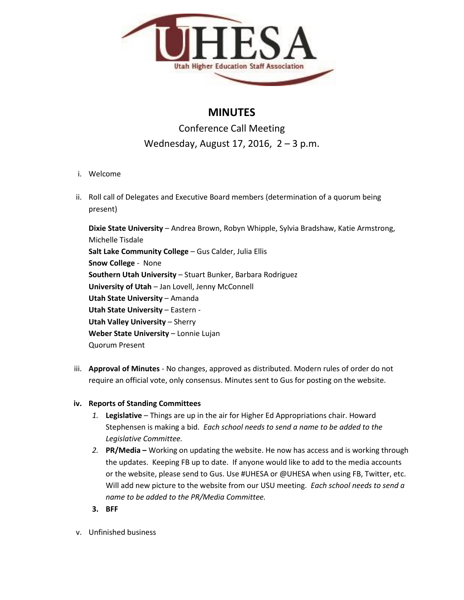

## **MINUTES**

# Conference Call Meeting Wednesday, August 17, 2016, 2 – 3 p.m.

- i. Welcome
- ii. Roll call of Delegates and Executive Board members (determination of a quorum being present)

**Dixie State University** – Andrea Brown, Robyn Whipple, Sylvia Bradshaw, Katie Armstrong, Michelle Tisdale **Salt Lake Community College** – Gus Calder, Julia Ellis **Snow College** - None **Southern Utah University** – Stuart Bunker, Barbara Rodriguez **University of Utah** – Jan Lovell, Jenny McConnell **Utah State University** – Amanda **Utah State University** – Eastern - **Utah Valley University** – Sherry **Weber State University** – Lonnie Lujan Quorum Present

- iii. **Approval of Minutes** No changes, approved as distributed. Modern rules of order do not require an official vote, only consensus. Minutes sent to Gus for posting on the website.
- **iv. Reports of Standing Committees**
	- *1.* **Legislative** Things are up in the air for Higher Ed Appropriations chair. Howard Stephensen is making a bid. *Each school needs to send a name to be added to the Legislative Committee.*
	- *2.* **PR/Media –** Working on updating the website. He now has access and is working through the updates. Keeping FB up to date. If anyone would like to add to the media accounts or the website, please send to Gus. Use #UHESA or @UHESA when using FB, Twitter, etc. Will add new picture to the website from our USU meeting. *Each school needs to send a name to be added to the PR/Media Committee.*
	- **3. BFF**
- v. Unfinished business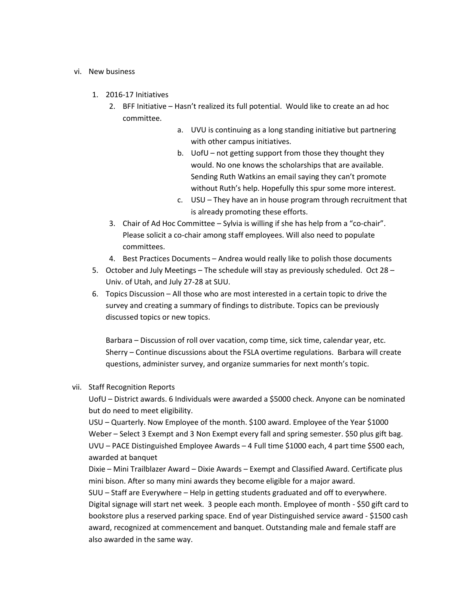#### vi. New business

- 1. 2016-17 Initiatives
	- 2. BFF Initiative Hasn't realized its full potential. Would like to create an ad hoc committee.
		- a. UVU is continuing as a long standing initiative but partnering with other campus initiatives.
		- b. UofU not getting support from those they thought they would. No one knows the scholarships that are available. Sending Ruth Watkins an email saying they can't promote without Ruth's help. Hopefully this spur some more interest.
		- c. USU They have an in house program through recruitment that is already promoting these efforts.
	- 3. Chair of Ad Hoc Committee Sylvia is willing if she has help from a "co-chair". Please solicit a co-chair among staff employees. Will also need to populate committees.
	- 4. Best Practices Documents Andrea would really like to polish those documents
- 5. October and July Meetings The schedule will stay as previously scheduled. Oct 28 Univ. of Utah, and July 27-28 at SUU.
- 6. Topics Discussion All those who are most interested in a certain topic to drive the survey and creating a summary of findings to distribute. Topics can be previously discussed topics or new topics.

Barbara – Discussion of roll over vacation, comp time, sick time, calendar year, etc. Sherry – Continue discussions about the FSLA overtime regulations. Barbara will create questions, administer survey, and organize summaries for next month's topic.

### vii. Staff Recognition Reports

UofU – District awards. 6 Individuals were awarded a \$5000 check. Anyone can be nominated but do need to meet eligibility.

USU – Quarterly. Now Employee of the month. \$100 award. Employee of the Year \$1000 Weber – Select 3 Exempt and 3 Non Exempt every fall and spring semester. \$50 plus gift bag. UVU – PACE Distinguished Employee Awards – 4 Full time \$1000 each, 4 part time \$500 each, awarded at banquet

Dixie – Mini Trailblazer Award – Dixie Awards – Exempt and Classified Award. Certificate plus mini bison. After so many mini awards they become eligible for a major award.

SUU – Staff are Everywhere – Help in getting students graduated and off to everywhere. Digital signage will start net week. 3 people each month. Employee of month - \$50 gift card to bookstore plus a reserved parking space. End of year Distinguished service award - \$1500 cash award, recognized at commencement and banquet. Outstanding male and female staff are also awarded in the same way.